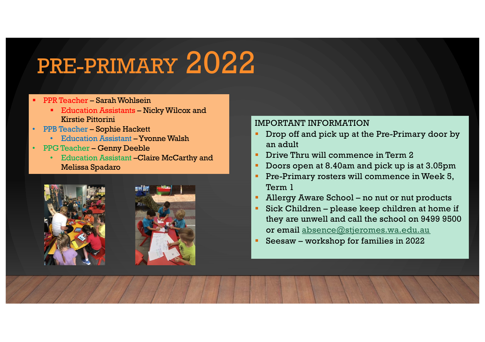# PRE-PRIMARY 2022

- PPR Teacher Sarah Wohlsein
	- Education Assistants Nicky Wilcox and Kirstie Pittorini
- PPB Teacher Sophie Hackett
	- Education Assistant –Yvonne Walsh
- PPG Teacher Genny Deeble
	- Education Assistant –Claire McCarthy and Melissa Spadaro





## IMPORTANT INFORMATION

- Drop off and pick up at the Pre-Primary door by an adult
- **•** Drive Thru will commence in Term 2
- Doors open at 8.40am and pick up is at 3.05pm
- Pre-Primary rosters will commence in Week 5, Term 1
- Allergy Aware School no nut or nut products
- Sick Children please keep children at home if they are unwell and call the school on 9499 9500 or ema[il absence@stjeromes.wa.edu.au](mailto:absence@stjeromes.wa.edu.au)
- § Seesaw workshop for families in 2022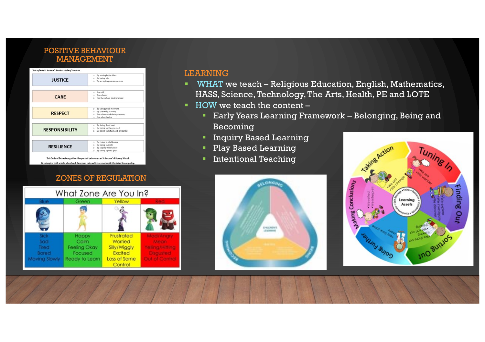### POSITIVE BEHAVIOUR MANAGEMENT



#### ZONES OF REGULATION

What Zone Are You In?

Yellow

Frustrated

Worried

Silly/Wiggly **Excited** 

Loss of Some

Control

Mad/Anan

Mean relling/Hitting

Disgusted

**Out of Control** 

Green

Happy

Calm

**Feeling Okay** 

Focused

Ready to Learn

Sick

Sad

Tired

Bored

**Moving Slowly** 

#### LEARNING

- WHAT we teach Religious Education, English, Mathematics, HASS, Science, Technology, The Arts, Health, PE and LOTE
- HOW we teach the content
	- **Early Years Learning Framework Belonging, Being and** Becoming
	- **•** Inquiry Based Learning
	- § Play Based Learning
	- Intentional Teaching



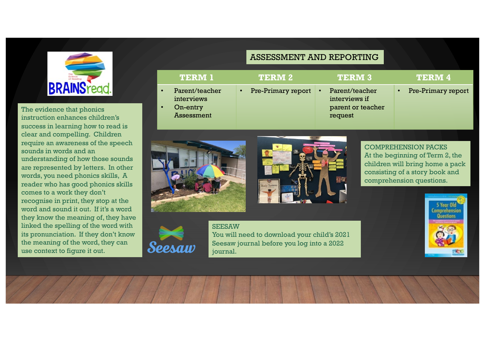

The evidence that phonics instruction enhances children's success in learning how to read is clear and compelling. Children require an awareness of the speech sounds in words and an understanding of how those sounds are represented by letters. In other words, you need phonics skills, A reader who has good phonics skills comes to a work they don't recognise in print, they stop at the word and sound it out. If it's a word they know the meaning of, they have linked the spelling of the word with its pronunciation. If they don't know the meaning of the word, they can use context to figure it out.

|                        | <b>TERM 1</b>                                          | <b>TERM 2</b>                   | <b>TERM 3</b>                                                   | <b>TERM 4</b>      |  |
|------------------------|--------------------------------------------------------|---------------------------------|-----------------------------------------------------------------|--------------------|--|
| $\bullet$<br>$\bullet$ | Parent/teacher<br>interviews<br>On-entry<br>Assessment | Pre-Primary report<br>$\bullet$ | Parent/teacher<br>interviews if<br>parent or teacher<br>request | Pre-Primary report |  |
|                        |                                                        |                                 |                                                                 |                    |  |

ASSESSMENT AND REPORTING





COMPREHENSION PACKS At the beginning of Term 2, the children will bring home a pack consisting of a story book and comprehension questions.





**SEESAW** You will need to download your child's 2021 Seesaw journal before you log into a 2022 journal.